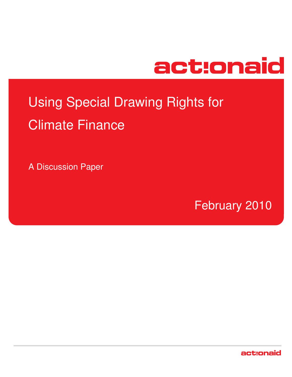

# Using Special Drawing Rights for Climate Finance

A Discussion Paper

February 2010

act:onaid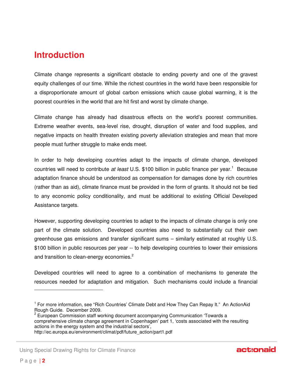#### **Introduction**

Climate change represents a significant obstacle to ending poverty and one of the gravest equity challenges of our time. While the richest countries in the world have been responsible for a disproportionate amount of global carbon emissions which cause global warming, it is the poorest countries in the world that are hit first and worst by climate change.

Climate change has already had disastrous effects on the world's poorest communities. Extreme weather events, sea-level rise, drought, disruption of water and food supplies, and negative impacts on health threaten existing poverty alleviation strategies and mean that more people must further struggle to make ends meet.

In order to help developing countries adapt to the impacts of climate change, developed countries will need to contribute at least U.S. \$100 billion in public finance per year.<sup>1</sup> Because adaptation finance should be understood as compensation for damages done by rich countries (rather than as aid), climate finance must be provided in the form of grants. It should not be tied to any economic policy conditionality, and must be additional to existing Official Developed Assistance targets.

However, supporting developing countries to adapt to the impacts of climate change is only one part of the climate solution. Developed countries also need to substantially cut their own greenhouse gas emissions and transfer significant sums – similarly estimated at roughly U.S. \$100 billion in public resources per year -- to help developing countries to lower their emissions and transition to clean-energy economies.<sup>2</sup>

Developed countries will need to agree to a combination of mechanisms to generate the resources needed for adaptation and mitigation. Such mechanisms could include a financial



<sup>&</sup>lt;sup>1</sup> For more information, see "Rich Countries' Climate Debt and How They Can Repay It." An ActionAid Rough Guide. December 2009.

<sup>&</sup>lt;sup>2</sup> European Commission staff working document accompanying Communication 'Towards a comprehensive climate change agreement in Copenhagen' part 1, 'costs associated with the resulting actions in the energy system and the industrial sectors',

http://ec.europa.eu/environment/climat/pdf/future\_action/part1.pdf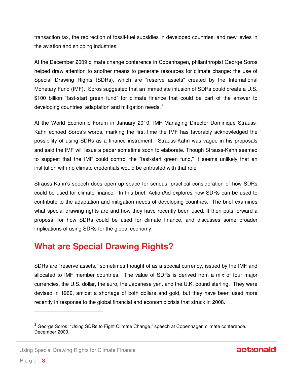transaction tax, the redirection of fossil-fuel subsidies in developed countries, and new levies in the aviation and shipping industries.

At the December 2009 climate change conference in Copenhagen, philanthropist George Soros helped draw attention to another means to generate resources for climate change: the use of Special Drawing Rights (SDRs), which are "reserve assets" created by the International Monetary Fund (IMF). Soros suggested that an immediate infusion of SDRs could create a U.S. \$100 billion "fast-start green fund" for climate finance that could be part of the answer to developing countries' adaptation and mitigation needs. $3$ 

At the World Economic Forum in January 2010, IMF Managing Director Dominique Strauss-Kahn echoed Soros's words, marking the first time the IMF has favorably acknowledged the possibility of using SDRs as a finance instrument. Strauss-Kahn was vague in his proposals and said the IMF will issue a paper sometime soon to elaborate. Though Strauss-Kahn seemed to suggest that the IMF could control the "fast-start green fund," it seems unlikely that an institution with no climate credentials would be entrusted with that role.

Strauss-Kahn's speech does open up space for serious, practical consideration of how SDRs could be used for climate finance. In this brief, ActionAid explores how SDRs can be used to contribute to the adaptation and mitigation needs of developing countries. The brief examines what special drawing rights are and how they have recently been used. It then puts forward a proposal for how SDRs could be used for climate finance, and discusses some broader implications of using SDRs for the global economy.

#### **What are Special Drawing Rights?**

SDRs are "reserve assets," sometimes thought of as a special currency, issued by the IMF and allocated to IMF member countries. The value of SDRs is derived from a mix of four major currencies, the U.S. dollar, the euro, the Japanese yen, and the U.K. pound sterling. They were devised in 1969, amidst a shortage of both dollars and gold, but they have been used more recently in response to the global financial and economic crisis that struck in 2008.

Using Special Drawing Rights for Climate Finance

j

 $3$  George Soros, "Using SDRs to Fight Climate Change," speech at Copenhagen climate conference. December 2009.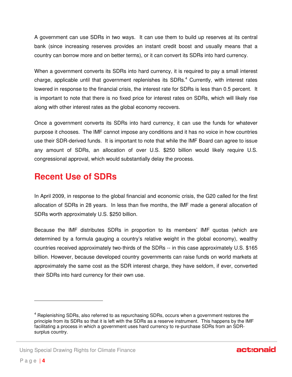A government can use SDRs in two ways. It can use them to build up reserves at its central bank (since increasing reserves provides an instant credit boost and usually means that a country can borrow more and on better terms), or it can convert its SDRs into hard currency.

When a government converts its SDRs into hard currency, it is required to pay a small interest charge, applicable until that government replenishes its SDRs.<sup>4</sup> Currently, with interest rates lowered in response to the financial crisis, the interest rate for SDRs is less than 0.5 percent. It is important to note that there is no fixed price for interest rates on SDRs, which will likely rise along with other interest rates as the global economy recovers.

Once a government converts its SDRs into hard currency, it can use the funds for whatever purpose it chooses. The IMF cannot impose any conditions and it has no voice in how countries use their SDR-derived funds. It is important to note that while the IMF Board can agree to issue any amount of SDRs, an allocation of over U.S. \$250 billion would likely require U.S. congressional approval, which would substantially delay the process.

#### **Recent Use of SDRs**

In April 2009, in response to the global financial and economic crisis, the G20 called for the first allocation of SDRs in 28 years. In less than five months, the IMF made a general allocation of SDRs worth approximately U.S. \$250 billion.

Because the IMF distributes SDRs in proportion to its members' IMF quotas (which are determined by a formula gauging a country's relative weight in the global economy), wealthy countries received approximately two-thirds of the SDRs -- in this case approximately U.S. \$165 billion. However, because developed country governments can raise funds on world markets at approximately the same cost as the SDR interest charge, they have seldom, if ever, converted their SDRs into hard currency for their own use.

-

<sup>4</sup> Replenishing SDRs, also referred to as repurchasing SDRs, occurs when a government restores the principle from its SDRs so that it is left with the SDRs as a reserve instrument. This happens by the IMF facilitating a process in which a government uses hard currency to re-purchase SDRs from an SDRsurplus country.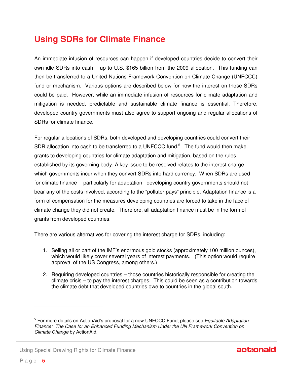### **Using SDRs for Climate Finance**

An immediate infusion of resources can happen if developed countries decide to convert their own idle SDRs into cash – up to U.S. \$165 billion from the 2009 allocation. This funding can then be transferred to a United Nations Framework Convention on Climate Change (UNFCCC) fund or mechanism. Various options are described below for how the interest on those SDRs could be paid. However, while an immediate infusion of resources for climate adaptation and mitigation is needed, predictable and sustainable climate finance is essential. Therefore, developed country governments must also agree to support ongoing and regular allocations of SDRs for climate finance.

For regular allocations of SDRs, both developed and developing countries could convert their SDR allocation into cash to be transferred to a UNFCCC fund. $5$  The fund would then make grants to developing countries for climate adaptation and mitigation, based on the rules established by its governing body. A key issue to be resolved relates to the interest charge which governments incur when they convert SDRs into hard currency. When SDRs are used for climate finance -- particularly for adaptation –developing country governments should not bear any of the costs involved, according to the "polluter pays" principle. Adaptation finance is a form of compensation for the measures developing countries are forced to take in the face of climate change they did not create. Therefore, all adaptation finance must be in the form of grants from developed countries.

There are various alternatives for covering the interest charge for SDRs, including:

- 1. Selling all or part of the IMF's enormous gold stocks (approximately 100 million ounces), which would likely cover several years of interest payments. (This option would require approval of the US Congress, among others.)
- 2. Requiring developed countries those countries historically responsible for creating the climate crisis – to pay the interest charges. This could be seen as a contribution towards the climate debt that developed countries owe to countries in the global south.



j

<sup>&</sup>lt;sup>5</sup> For more details on ActionAid's proposal for a new UNFCCC Fund, please see Equitable Adaptation Finance: The Case for an Enhanced Funding Mechanism Under the UN Framework Convention on Climate Change by ActionAid.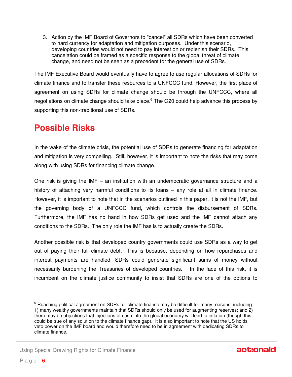3. Action by the IMF Board of Governors to "cancel" all SDRs which have been converted to hard currency for adaptation and mitigation purposes. Under this scenario, developing countries would not need to pay interest on or replenish their SDRs. This cancelation could be framed as a specific response to the global threat of climate change, and need not be seen as a precedent for the general use of SDRs.

The IMF Executive Board would eventually have to agree to use regular allocations of SDRs for climate finance and to transfer these resources to a UNFCCC fund. However, the first place of agreement on using SDRs for climate change should be through the UNFCCC, where all negotiations on climate change should take place.<sup>6</sup> The G20 could help advance this process by supporting this non-traditional use of SDRs.

### **Possible Risks**

In the wake of the climate crisis, the potential use of SDRs to generate financing for adaptation and mitigation is very compelling. Still, however, it is important to note the risks that may come along with using SDRs for financing climate change.

One risk is giving the IMF – an institution with an undemocratic governance structure and a history of attaching very harmful conditions to its loans – any role at all in climate finance. However, it is important to note that in the scenarios outlined in this paper, it is not the IMF, but the governing body of a UNFCCC fund, which controls the disbursement of SDRs. Furthermore, the IMF has no hand in how SDRs get used and the IMF cannot attach any conditions to the SDRs. The only role the IMF has is to actually create the SDRs.

Another possible risk is that developed country governments could use SDRs as a way to get out of paying their full climate debt. This is because, depending on how repurchases and interest payments are handled, SDRs could generate significant sums of money without necessarily burdening the Treasuries of developed countries. In the face of this risk, it is incumbent on the climate justice community to insist that SDRs are one of the options to



<sup>&</sup>lt;sup>6</sup> Reaching political agreement on SDRs for climate finance may be difficult for many reasons, including: 1) many wealthy governments maintain that SDRs should only be used for augmenting reserves; and 2) there may be objections that injections of cash into the global economy will lead to inflation (though this could be true of any solution to the climate finance gap). It is also important to note that the US holds veto power on the IMF board and would therefore need to be in agreement with dedicating SDRs to climate finance.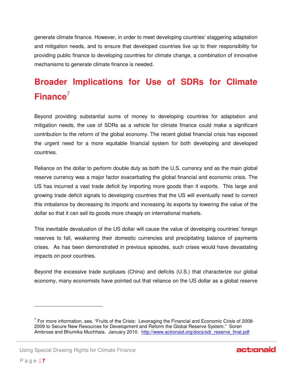generate climate finance. However, in order to meet developing countries' staggering adaptation and mitigation needs, and to ensure that developed countries live up to their responsibility for providing public finance to developing countries for climate change, a combination of innovative mechanisms to generate climate finance is needed.

## **Broader Implications for Use of SDRs for Climate Finance**<sup>7</sup>

Beyond providing substantial sums of money to developing countries for adaptation and mitigation needs, the use of SDRs as a vehicle for climate finance could make a significant contribution to the reform of the global economy. The recent global financial crisis has exposed the urgent need for a more equitable financial system for both developing and developed countries.

Reliance on the dollar to perform double duty as both the U.S. currency and as the main global reserve currency was a major factor exacerbating the global financial and economic crisis. The US has incurred a vast trade deficit by importing more goods than it exports. This large and growing trade deficit signals to developing countries that the US will eventually need to correct this imbalance by decreasing its imports and increasing its exports by lowering the value of the dollar so that it can sell its goods more cheaply on international markets.

This inevitable devaluation of the US dollar will cause the value of developing countries' foreign reserves to fall, weakening their domestic currencies and precipitating balance of payments crises. As has been demonstrated in previous episodes, such crises would have devastating impacts on poor countries.

Beyond the excessive trade surpluses (China) and deficits (U.S.) that characterize our global economy, many economists have pointed out that reliance on the US dollar as a global reserve

-

 $7$  For more information, see, "Fruits of the Crisis: Leveraging the Financial and Economic Crisis of 2008-2009 to Secure New Resources for Development and Reform the Global Reserve System." Soren Ambrose and Bhumika Muchhala. January 2010. http://www.actionaid.org/docs/sdr\_reserve\_final.pdf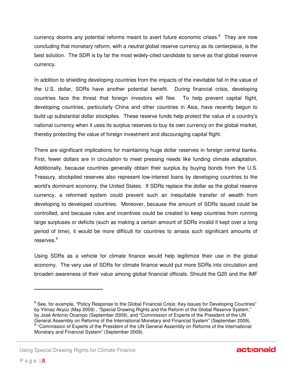currency dooms any potential reforms meant to avert future economic crises.<sup>8</sup> They are now concluding that monetary reform, with a *neutral* global reserve currency as its centerpiece, is the best solution. The SDR is by far the most widely-cited candidate to serve as that global reserve currency.

In addition to shielding developing countries from the impacts of the inevitable fall in the value of the U.S. dollar, SDRs have another potential benefit. During financial crisis, developing countries face the threat that foreign investors will flee. To help prevent capital flight, developing countries, particularly China and other countries in Asia, have recently begun to build up substantial dollar stockpiles. These reserve funds help protect the value of a country's national currency when it uses its surplus reserves to buy its own currency on the global market, thereby protecting the value of foreign investment and discouraging capital flight.

There are significant implications for maintaining huge dollar reserves in foreign central banks. First, fewer dollars are in circulation to meet pressing needs like funding climate adaptation. Additionally, because countries generally obtain their surplus by buying bonds from the U.S. Treasury, stockpiled reserves also represent low-interest loans by developing countries to the world's dominant economy, the United States. If SDRs replace the dollar as the global reserve currency, a reformed system could prevent such an inequitable transfer of wealth from developing to developed countries. Moreover, because the amount of SDRs issued could be controlled, and because rules and incentives could be created to keep countries from running large surpluses or deficits (such as making a certain amount of SDRs invalid if kept over a long period of time), it would be more difficult for countries to amass such significant amounts of reserves.<sup>9</sup>

Using SDRs as a vehicle for climate finance would help legitimize their use in the global economy. The very use of SDRs for climate finance would put more SDRs into circulation and broaden awareness of their value among global financial officials. Should the G20 and the IMF

-

<sup>&</sup>lt;sup>8</sup> See, for example, "Policy Response to the Global Financial Crisis: Key Issues for Developing Countries" by Yilmaz Akyüz (May 2009) , "Special Drawing Rights and the Reform of the Global Reserve System," by José Antonio Ocampo (September 2009), and "Commission of Experts of the President of the UN General Assembly on Reforms of the International Monetary and Financial System" (September 2009). <sup>9</sup> "Commission of Experts of the President of the UN General Assembly on Reforms of the International Monetary and Financial System" (September 2009).